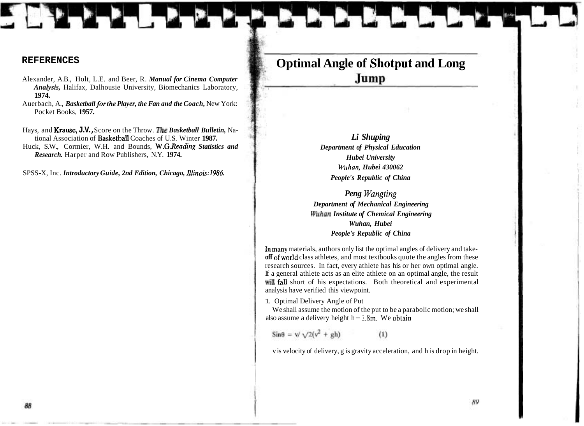## **Optimal Angle of Shotput and Long**  Jump

*Li Shuping Department of Physical Education Hubei University Wrthan, Hubei 430062 People's Republic of China* 

*Peng Wangting Department of Mechanical Engineering W~~han Institute of Chemical Engineering Wuhan, Hubei People's Republic of China* 

Inmany materials, authors only list the optimal angles of delivery and take**off** of world class athletes, and most textbooks quote the angles from these research sources. In fact, every athlete has his or her own optimal angle. If a general athlete acts as an elite athlete on an optimal angle, the result will fall short of his expectations. Both theoretical and experimental analysis have verified this viewpoint.

1. Optimal Delivery Angle of Put

We shall assume the motion of the put to be a parabolic motion; we shall also assume a delivery height  $h = 1.8m$ . We obtain

 $\sin\theta = \sqrt{2(v^2 + gh)}$  $(1)$ 

v is velocity of delivery, g is gravity acceleration, and h is drop in height.